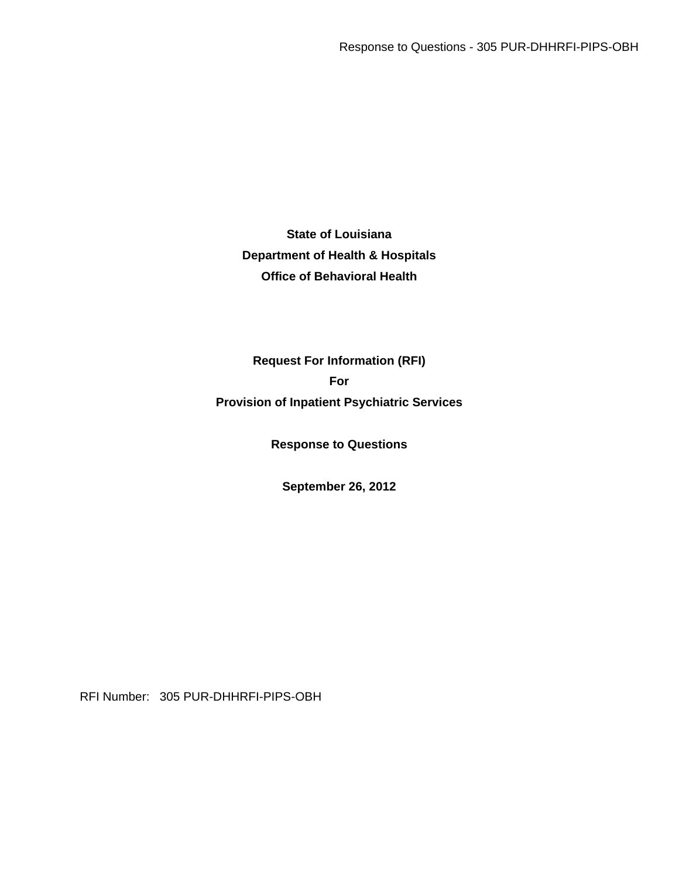**State of Louisiana Department of Health & Hospitals Office of Behavioral Health** 

**Request For Information (RFI) For Provision of Inpatient Psychiatric Services** 

**Response to Questions** 

**September 26, 2012** 

RFI Number: 305 PUR-DHHRFI-PIPS-OBH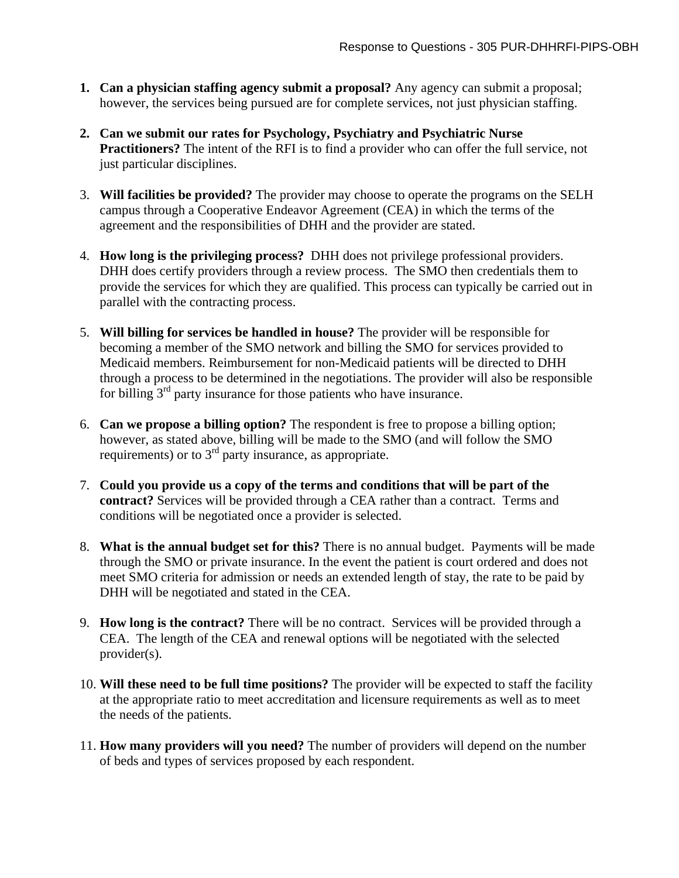- **1. Can a physician staffing agency submit a proposal?** Any agency can submit a proposal; however, the services being pursued are for complete services, not just physician staffing.
- **2. Can we submit our rates for Psychology, Psychiatry and Psychiatric Nurse Practitioners?** The intent of the RFI is to find a provider who can offer the full service, not just particular disciplines.
- 3. **Will facilities be provided?** The provider may choose to operate the programs on the SELH campus through a Cooperative Endeavor Agreement (CEA) in which the terms of the agreement and the responsibilities of DHH and the provider are stated.
- 4. **How long is the privileging process?** DHH does not privilege professional providers. DHH does certify providers through a review process. The SMO then credentials them to provide the services for which they are qualified. This process can typically be carried out in parallel with the contracting process.
- 5. **Will billing for services be handled in house?** The provider will be responsible for becoming a member of the SMO network and billing the SMO for services provided to Medicaid members. Reimbursement for non-Medicaid patients will be directed to DHH through a process to be determined in the negotiations. The provider will also be responsible for billing  $3<sup>rd</sup>$  party insurance for those patients who have insurance.
- 6. **Can we propose a billing option?** The respondent is free to propose a billing option; however, as stated above, billing will be made to the SMO (and will follow the SMO requirements) or to  $3<sup>rd</sup>$  party insurance, as appropriate.
- 7. **Could you provide us a copy of the terms and conditions that will be part of the contract?** Services will be provided through a CEA rather than a contract. Terms and conditions will be negotiated once a provider is selected.
- 8. **What is the annual budget set for this?** There is no annual budget. Payments will be made through the SMO or private insurance. In the event the patient is court ordered and does not meet SMO criteria for admission or needs an extended length of stay, the rate to be paid by DHH will be negotiated and stated in the CEA.
- 9. **How long is the contract?** There will be no contract. Services will be provided through a CEA. The length of the CEA and renewal options will be negotiated with the selected provider(s).
- 10. **Will these need to be full time positions?** The provider will be expected to staff the facility at the appropriate ratio to meet accreditation and licensure requirements as well as to meet the needs of the patients.
- 11. **How many providers will you need?** The number of providers will depend on the number of beds and types of services proposed by each respondent.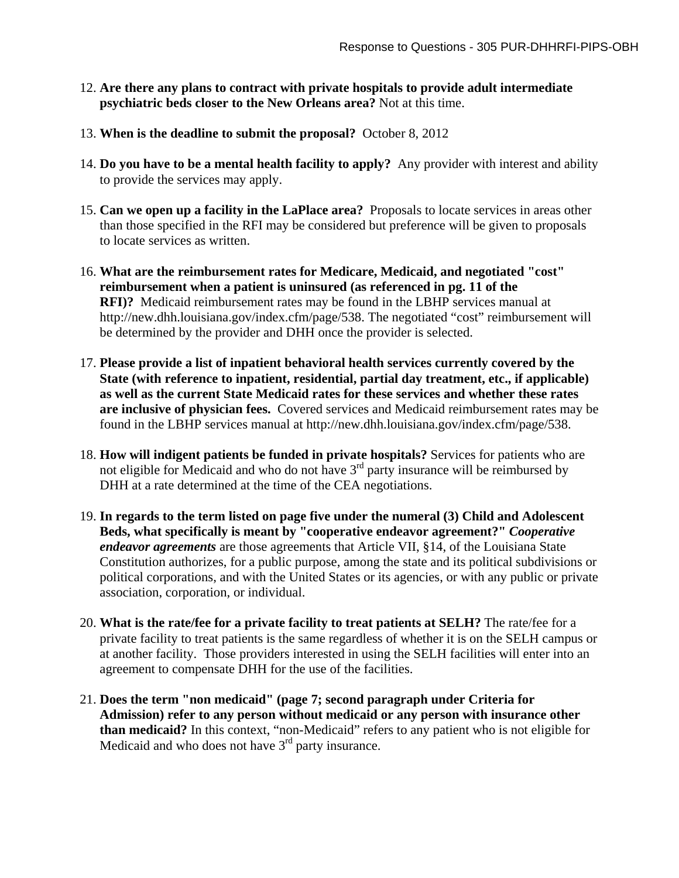- 12. **Are there any plans to contract with private hospitals to provide adult intermediate psychiatric beds closer to the New Orleans area?** Not at this time.
- 13. **When is the deadline to submit the proposal?** October 8, 2012
- 14. **Do you have to be a mental health facility to apply?** Any provider with interest and ability to provide the services may apply.
- 15. **Can we open up a facility in the LaPlace area?** Proposals to locate services in areas other than those specified in the RFI may be considered but preference will be given to proposals to locate services as written.
- 16. **What are the reimbursement rates for Medicare, Medicaid, and negotiated "cost" reimbursement when a patient is uninsured (as referenced in pg. 11 of the RFI)?** Medicaid reimbursement rates may be found in the LBHP services manual at http://new.dhh.louisiana.gov/index.cfm/page/538. The negotiated "cost" reimbursement will be determined by the provider and DHH once the provider is selected.
- 17. **Please provide a list of inpatient behavioral health services currently covered by the State (with reference to inpatient, residential, partial day treatment, etc., if applicable) as well as the current State Medicaid rates for these services and whether these rates are inclusive of physician fees.** Covered services and Medicaid reimbursement rates may be found in the LBHP services manual at http://new.dhh.louisiana.gov/index.cfm/page/538.
- 18. **How will indigent patients be funded in private hospitals?** Services for patients who are not eligible for Medicaid and who do not have  $3^{rd}$  party insurance will be reimbursed by DHH at a rate determined at the time of the CEA negotiations.
- 19. **In regards to the term listed on page five under the numeral (3) Child and Adolescent Beds, what specifically is meant by "cooperative endeavor agreement?"** *Cooperative endeavor agreements* are those agreements that Article VII, §14, of the Louisiana State Constitution authorizes, for a public purpose, among the state and its political subdivisions or political corporations, and with the United States or its agencies, or with any public or private association, corporation, or individual.
- 20. **What is the rate/fee for a private facility to treat patients at SELH?** The rate/fee for a private facility to treat patients is the same regardless of whether it is on the SELH campus or at another facility. Those providers interested in using the SELH facilities will enter into an agreement to compensate DHH for the use of the facilities.
- 21. **Does the term "non medicaid" (page 7; second paragraph under Criteria for Admission) refer to any person without medicaid or any person with insurance other than medicaid?** In this context, "non-Medicaid" refers to any patient who is not eligible for Medicaid and who does not have  $3<sup>rd</sup>$  party insurance.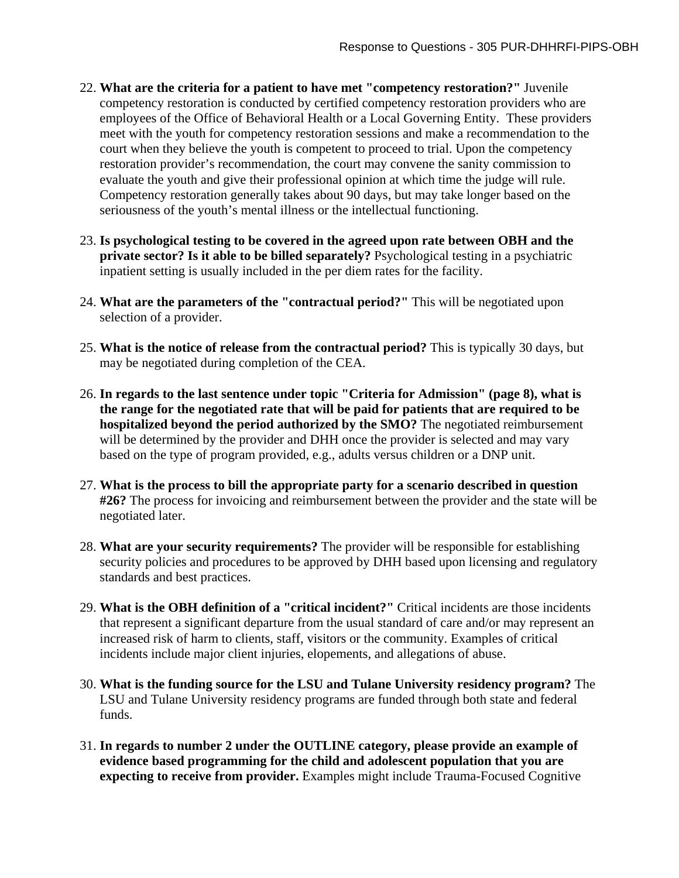- 22. **What are the criteria for a patient to have met "competency restoration?"** Juvenile competency restoration is conducted by certified competency restoration providers who are employees of the Office of Behavioral Health or a Local Governing Entity. These providers meet with the youth for competency restoration sessions and make a recommendation to the court when they believe the youth is competent to proceed to trial. Upon the competency restoration provider's recommendation, the court may convene the sanity commission to evaluate the youth and give their professional opinion at which time the judge will rule. Competency restoration generally takes about 90 days, but may take longer based on the seriousness of the youth's mental illness or the intellectual functioning.
- 23. **Is psychological testing to be covered in the agreed upon rate between OBH and the private sector? Is it able to be billed separately?** Psychological testing in a psychiatric inpatient setting is usually included in the per diem rates for the facility.
- 24. **What are the parameters of the "contractual period?"** This will be negotiated upon selection of a provider.
- 25. **What is the notice of release from the contractual period?** This is typically 30 days, but may be negotiated during completion of the CEA.
- 26. **In regards to the last sentence under topic "Criteria for Admission" (page 8), what is the range for the negotiated rate that will be paid for patients that are required to be hospitalized beyond the period authorized by the SMO?** The negotiated reimbursement will be determined by the provider and DHH once the provider is selected and may vary based on the type of program provided, e.g., adults versus children or a DNP unit.
- 27. **What is the process to bill the appropriate party for a scenario described in question #26?** The process for invoicing and reimbursement between the provider and the state will be negotiated later.
- 28. **What are your security requirements?** The provider will be responsible for establishing security policies and procedures to be approved by DHH based upon licensing and regulatory standards and best practices.
- 29. **What is the OBH definition of a "critical incident?"** Critical incidents are those incidents that represent a significant departure from the usual standard of care and/or may represent an increased risk of harm to clients, staff, visitors or the community. Examples of critical incidents include major client injuries, elopements, and allegations of abuse.
- 30. **What is the funding source for the LSU and Tulane University residency program?** The LSU and Tulane University residency programs are funded through both state and federal funds.
- 31. **In regards to number 2 under the OUTLINE category, please provide an example of evidence based programming for the child and adolescent population that you are expecting to receive from provider.** Examples might include Trauma-Focused Cognitive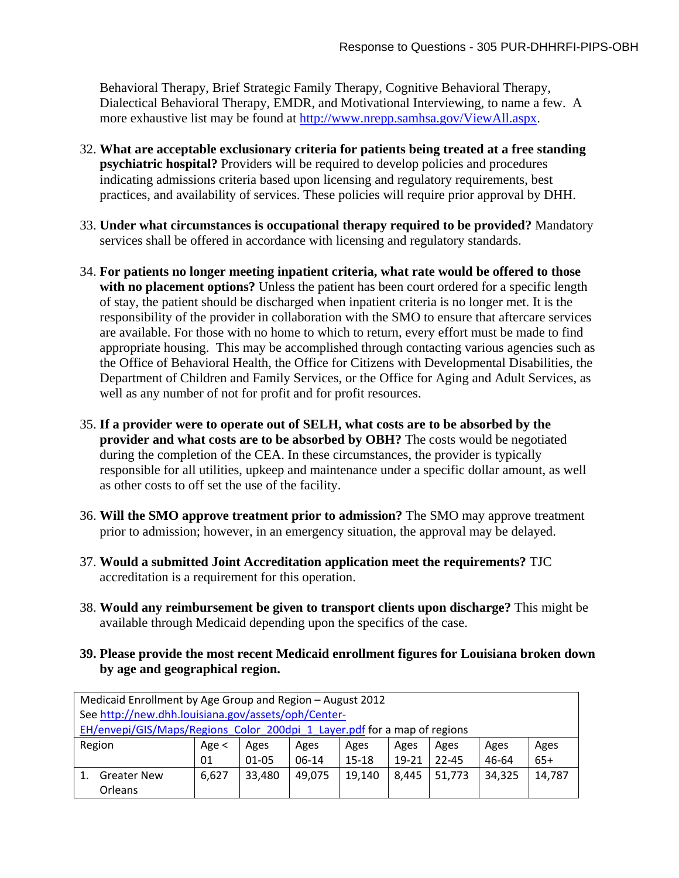Behavioral Therapy, Brief Strategic Family Therapy, Cognitive Behavioral Therapy, Dialectical Behavioral Therapy, EMDR, and Motivational Interviewing, to name a few. A more exhaustive list may be found at http://www.nrepp.samhsa.gov/ViewAll.aspx.

- 32. **What are acceptable exclusionary criteria for patients being treated at a free standing psychiatric hospital?** Providers will be required to develop policies and procedures indicating admissions criteria based upon licensing and regulatory requirements, best practices, and availability of services. These policies will require prior approval by DHH.
- 33. **Under what circumstances is occupational therapy required to be provided?** Mandatory services shall be offered in accordance with licensing and regulatory standards.
- 34. **For patients no longer meeting inpatient criteria, what rate would be offered to those with no placement options?** Unless the patient has been court ordered for a specific length of stay, the patient should be discharged when inpatient criteria is no longer met. It is the responsibility of the provider in collaboration with the SMO to ensure that aftercare services are available. For those with no home to which to return, every effort must be made to find appropriate housing. This may be accomplished through contacting various agencies such as the Office of Behavioral Health, the Office for Citizens with Developmental Disabilities, the Department of Children and Family Services, or the Office for Aging and Adult Services, as well as any number of not for profit and for profit resources.
- 35. **If a provider were to operate out of SELH, what costs are to be absorbed by the provider and what costs are to be absorbed by OBH?** The costs would be negotiated during the completion of the CEA. In these circumstances, the provider is typically responsible for all utilities, upkeep and maintenance under a specific dollar amount, as well as other costs to off set the use of the facility.
- 36. **Will the SMO approve treatment prior to admission?** The SMO may approve treatment prior to admission; however, in an emergency situation, the approval may be delayed.
- 37. **Would a submitted Joint Accreditation application meet the requirements?** TJC accreditation is a requirement for this operation.
- 38. **Would any reimbursement be given to transport clients upon discharge?** This might be available through Medicaid depending upon the specifics of the case.
- **39. Please provide the most recent Medicaid enrollment figures for Louisiana broken down by age and geographical region.**

| Medicaid Enrollment by Age Group and Region - August 2012                |                    |            |        |        |           |       |           |        |        |  |  |
|--------------------------------------------------------------------------|--------------------|------------|--------|--------|-----------|-------|-----------|--------|--------|--|--|
| See http://new.dhh.louisiana.gov/assets/oph/Center-                      |                    |            |        |        |           |       |           |        |        |  |  |
| EH/envepi/GIS/Maps/Regions Color 200dpi 1 Layer.pdf for a map of regions |                    |            |        |        |           |       |           |        |        |  |  |
| Region                                                                   |                    | Age $\leq$ | Ages   | Ages   | Ages      | Ages  | Ages      | Ages   | Ages   |  |  |
|                                                                          |                    | 01         | 01-05  | 06-14  | $15 - 18$ | 19-21 | $22 - 45$ | 46-64  | $65+$  |  |  |
|                                                                          | <b>Greater New</b> | 6,627      | 33,480 | 49,075 | 19,140    | 8.445 | 51,773    | 34,325 | 14,787 |  |  |
|                                                                          | <b>Orleans</b>     |            |        |        |           |       |           |        |        |  |  |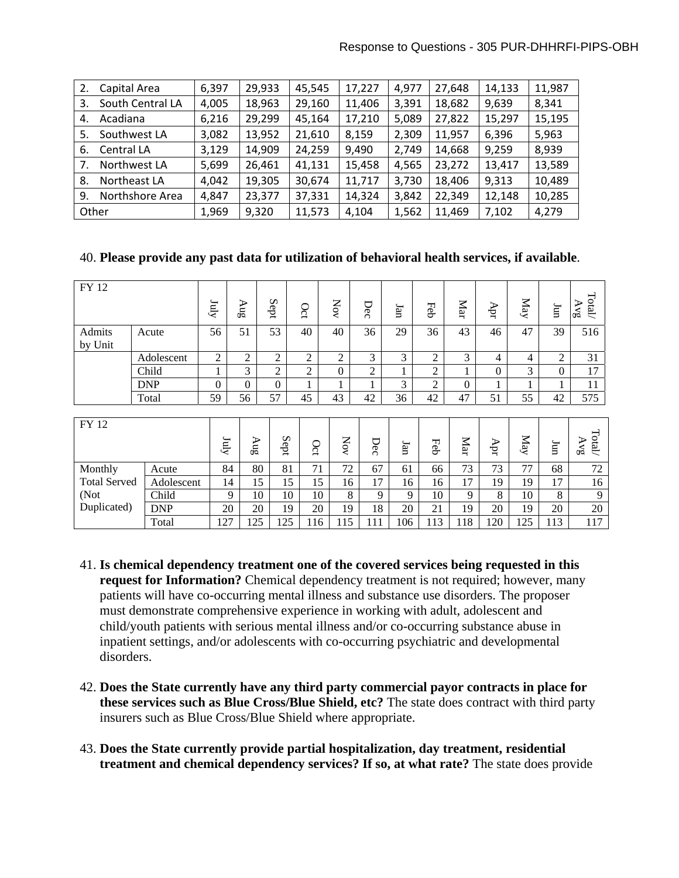| 2.    | Capital Area     | 6,397 | 29,933 | 45,545 | 17,227 | 4,977 | 27,648 | 14,133 | 11,987 |
|-------|------------------|-------|--------|--------|--------|-------|--------|--------|--------|
| 3.    | South Central LA | 4,005 | 18,963 | 29,160 | 11,406 | 3,391 | 18,682 | 9,639  | 8,341  |
| 4.    | Acadiana         | 6,216 | 29,299 | 45,164 | 17,210 | 5,089 | 27,822 | 15,297 | 15,195 |
| 5.    | Southwest LA     | 3,082 | 13,952 | 21,610 | 8,159  | 2,309 | 11,957 | 6,396  | 5,963  |
| 6.    | Central LA       | 3,129 | 14,909 | 24,259 | 9,490  | 2,749 | 14,668 | 9,259  | 8,939  |
|       | Northwest LA     | 5,699 | 26,461 | 41,131 | 15,458 | 4,565 | 23,272 | 13,417 | 13,589 |
| 8.    | Northeast LA     | 4,042 | 19,305 | 30,674 | 11,717 | 3,730 | 18,406 | 9,313  | 10,489 |
| 9.    | Northshore Area  | 4,847 | 23,377 | 37,331 | 14,324 | 3,842 | 22,349 | 12,148 | 10,285 |
| Other |                  | 1,969 | 9,320  | 11,573 | 4,104  | 1,562 | 11,469 | 7,102  | 4,279  |

#### 40. **Please provide any past data for utilization of behavioral health services, if available**.

| FY 12               |                                              | Zuly           | $\rm SnA$      | Sept           |          | Oct            | Nov            | Dec            | Ian            | Feb            | Mar            | Apr            | $_{\rm{Nay}}$  | Imf                                            | Total<br>AVg |
|---------------------|----------------------------------------------|----------------|----------------|----------------|----------|----------------|----------------|----------------|----------------|----------------|----------------|----------------|----------------|------------------------------------------------|--------------|
| Admits<br>by Unit   | Acute                                        | 56             | 51             | 53             |          | 40             | 40             | 36             | 29             | 36             | 43             | 46             | 47             | 39                                             | 516          |
|                     | Adolescent                                   | $\overline{2}$ | $\overline{c}$ | $\overline{2}$ |          | $\overline{2}$ | $\overline{2}$ | 3              | 3              | $\overline{c}$ | 3              | $\overline{4}$ | $\overline{4}$ | $\overline{2}$                                 | 31           |
|                     | 3<br>$\mathbf{1}$<br>$\overline{c}$<br>Child |                |                | $\overline{2}$ | $\Omega$ | $\overline{2}$ | $\mathbf{1}$   | $\overline{2}$ | 1              | $\Omega$       | $\overline{3}$ | $\overline{0}$ | 17             |                                                |              |
|                     | $\overline{0}$<br>$\mathbf{0}$<br><b>DNP</b> |                | $\overline{0}$ |                |          |                |                | $\overline{3}$ | $\overline{2}$ | $\Omega$       | 1              |                | $\mathbf{1}$   | 11                                             |              |
|                     | Total                                        | 59             | 56             | 57             |          | 45             | 43             | 42             | 36             | 42             | 47             | 51             | 55             | 42                                             | 575          |
|                     |                                              |                |                |                |          |                |                |                |                |                |                |                |                |                                                |              |
| FY 12               | $\mathop{\hbox{Int}}\nolimits$               |                | $\Delta u g$   | Sept           | Oct      | $_{\rm NOV}$   | Dec            | Ian            | Feb            | Mar            | Apr            | $_{\rm{May}}$  | Iun            | $\operatorname{Total}$<br>$\Delta \mathrm{Vg}$ |              |
| Monthly<br>Acute    |                                              |                | 84             | 80             | 81       | 71             | 72             | 67             | 61             | 66             | 73             | 73             | 77             | 68                                             | 72           |
| <b>Total Served</b> | Adolescent                                   |                | 14             | 15             | 15       | 15             | 16             | 17             | 16             | 16             | 17             | 19             | 19             | 17                                             | 16           |
| (Not                | Child                                        |                | 9              | 10             | 10       | 10             | 8              | 9              | 9              | 10             | 9              | 8              | 10             | 8                                              | 9            |
| Duplicated)         | <b>DNP</b>                                   | 20             |                | 20             | 19       | 20             | 19             | 18             | 20             | 21             | 19             | 20             | 19             | 20                                             | 20           |
|                     | Total                                        | 127            |                | 125            | 125      | 116            | 115            | 111            | 106            | 113            | 118            | 120            | 125            | 113                                            | 117          |

- 41. **Is chemical dependency treatment one of the covered services being requested in this request for Information?** Chemical dependency treatment is not required; however, many patients will have co-occurring mental illness and substance use disorders. The proposer must demonstrate comprehensive experience in working with adult, adolescent and child/youth patients with serious mental illness and/or co-occurring substance abuse in inpatient settings, and/or adolescents with co-occurring psychiatric and developmental disorders.
- 42. **Does the State currently have any third party commercial payor contracts in place for these services such as Blue Cross/Blue Shield, etc?** The state does contract with third party insurers such as Blue Cross/Blue Shield where appropriate.
- 43. **Does the State currently provide partial hospitalization, day treatment, residential treatment and chemical dependency services? If so, at what rate?** The state does provide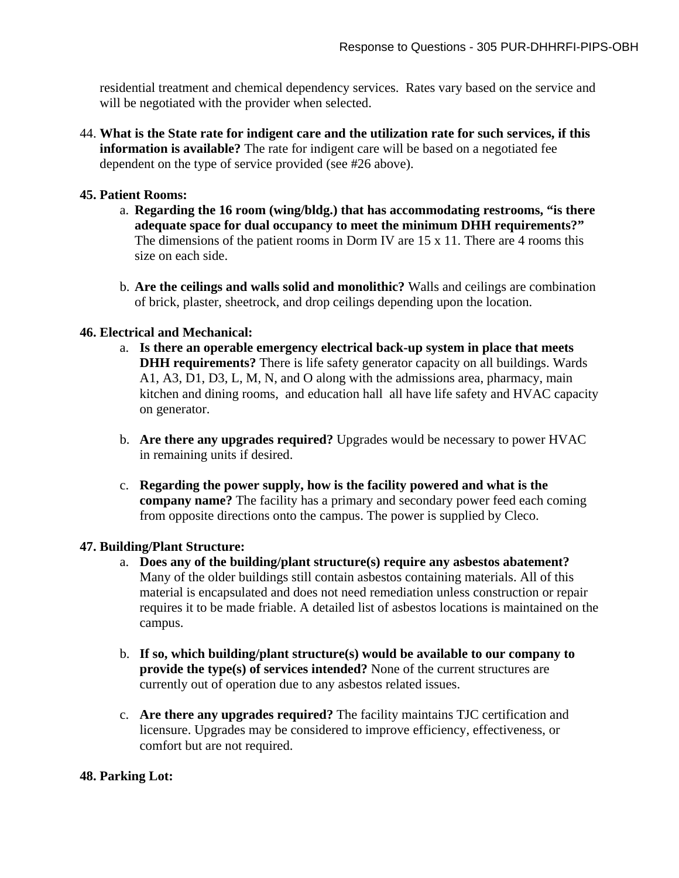residential treatment and chemical dependency services. Rates vary based on the service and will be negotiated with the provider when selected.

44. **What is the State rate for indigent care and the utilization rate for such services, if this information is available?** The rate for indigent care will be based on a negotiated fee dependent on the type of service provided (see #26 above).

## **45. Patient Rooms:**

- a. **Regarding the 16 room (wing/bldg.) that has accommodating restrooms, "is there adequate space for dual occupancy to meet the minimum DHH requirements?"** The dimensions of the patient rooms in Dorm IV are 15 x 11. There are 4 rooms this size on each side.
- b. **Are the ceilings and walls solid and monolithic?** Walls and ceilings are combination of brick, plaster, sheetrock, and drop ceilings depending upon the location.

## **46. Electrical and Mechanical:**

- a. **Is there an operable emergency electrical back-up system in place that meets DHH requirements?** There is life safety generator capacity on all buildings. Wards A1, A3, D1, D3, L, M, N, and O along with the admissions area, pharmacy, main kitchen and dining rooms, and education hall all have life safety and HVAC capacity on generator.
- b. **Are there any upgrades required?** Upgrades would be necessary to power HVAC in remaining units if desired.
- c. **Regarding the power supply, how is the facility powered and what is the company name?** The facility has a primary and secondary power feed each coming from opposite directions onto the campus. The power is supplied by Cleco.

#### **47. Building/Plant Structure:**

- a. **Does any of the building/plant structure(s) require any asbestos abatement?** Many of the older buildings still contain asbestos containing materials. All of this material is encapsulated and does not need remediation unless construction or repair requires it to be made friable. A detailed list of asbestos locations is maintained on the campus.
- b. **If so, which building/plant structure(s) would be available to our company to provide the type(s) of services intended?** None of the current structures are currently out of operation due to any asbestos related issues.
- c. **Are there any upgrades required?** The facility maintains TJC certification and licensure. Upgrades may be considered to improve efficiency, effectiveness, or comfort but are not required.

# **48. Parking Lot:**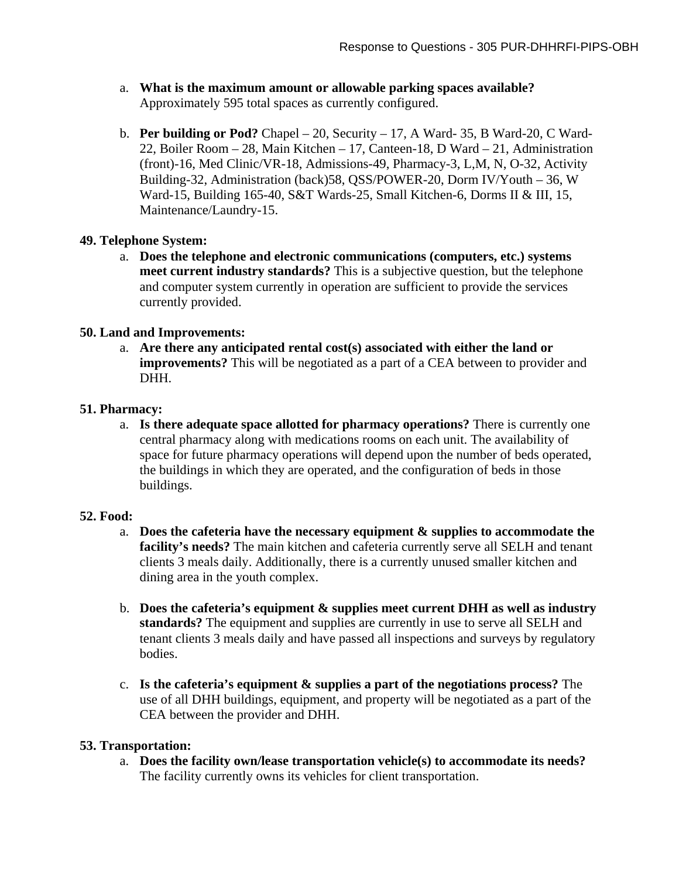- a. **What is the maximum amount or allowable parking spaces available?** Approximately 595 total spaces as currently configured.
- b. **Per building or Pod?** Chapel 20, Security 17, A Ward- 35, B Ward-20, C Ward-22, Boiler Room – 28, Main Kitchen – 17, Canteen-18, D Ward – 21, Administration (front)-16, Med Clinic/VR-18, Admissions-49, Pharmacy-3, L,M, N, O-32, Activity Building-32, Administration (back)58, QSS/POWER-20, Dorm IV/Youth – 36, W Ward-15, Building 165-40, S&T Wards-25, Small Kitchen-6, Dorms II & III, 15, Maintenance/Laundry-15.

## **49. Telephone System:**

a. **Does the telephone and electronic communications (computers, etc.) systems meet current industry standards?** This is a subjective question, but the telephone and computer system currently in operation are sufficient to provide the services currently provided.

## **50. Land and Improvements:**

a. **Are there any anticipated rental cost(s) associated with either the land or improvements?** This will be negotiated as a part of a CEA between to provider and DHH.

## **51. Pharmacy:**

a. **Is there adequate space allotted for pharmacy operations?** There is currently one central pharmacy along with medications rooms on each unit. The availability of space for future pharmacy operations will depend upon the number of beds operated, the buildings in which they are operated, and the configuration of beds in those buildings.

#### **52. Food:**

- a. **Does the cafeteria have the necessary equipment & supplies to accommodate the facility's needs?** The main kitchen and cafeteria currently serve all SELH and tenant clients 3 meals daily. Additionally, there is a currently unused smaller kitchen and dining area in the youth complex.
- b. **Does the cafeteria's equipment & supplies meet current DHH as well as industry standards?** The equipment and supplies are currently in use to serve all SELH and tenant clients 3 meals daily and have passed all inspections and surveys by regulatory bodies.
- c. **Is the cafeteria's equipment & supplies a part of the negotiations process?** The use of all DHH buildings, equipment, and property will be negotiated as a part of the CEA between the provider and DHH.

# **53. Transportation:**

a. **Does the facility own/lease transportation vehicle(s) to accommodate its needs?** The facility currently owns its vehicles for client transportation.